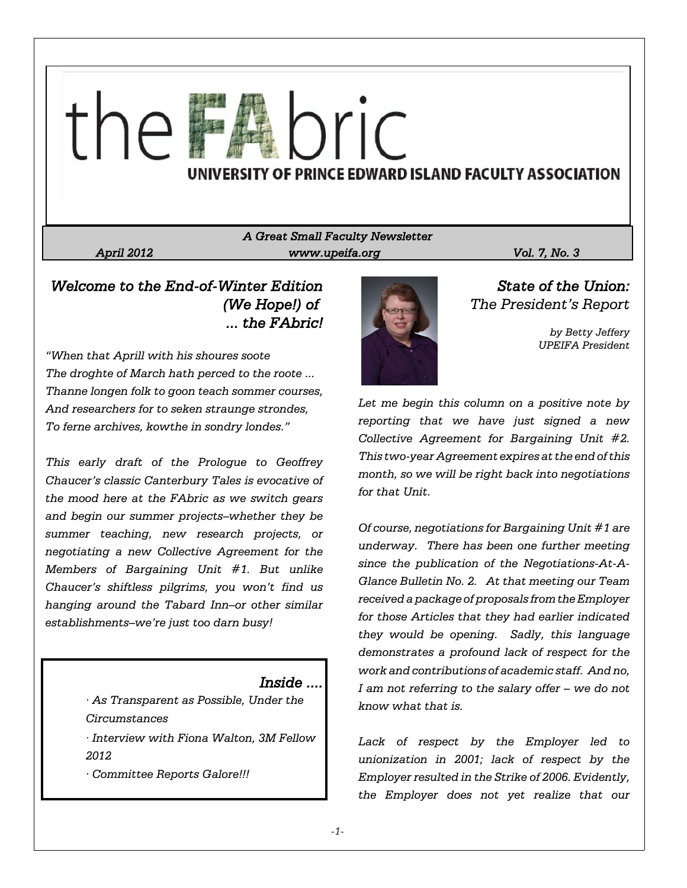# nric UNIVERSITY OF PRINCE EDWARD ISLAND FACULTY ASSOCIATION

# *A Great Small Faculty Newsletter April 2012 www.upeifa.org Vol. 7, No. 3*

*Welcome to the End-of-Winter Edition (We Hope!) of ... the FAbric!*

*"When that Aprill with his shoures soote The droghte of March hath perced to the roote ... Thanne longen folk to goon teach sommer courses, And researchers for to seken straunge strondes, To ferne archives, kowthe in sondry londes."*

*This early draft of the Prologue to Geoffrey Chaucer's classic Canterbury Tales is evocative of the mood here at the FAbric as we switch gears and begin our summer projects–whether they be summer teaching, new research projects, or negotiating a new Collective Agreement for the Members of Bargaining Unit #1. But unlike Chaucer's shiftless pilgrims, you won't find us hanging around the Tabard Inn–or other similar establishments–we're just too darn busy!*

# *Inside ....*

*· As Transparent as Possible, Under the Circumstances*

*· Interview with Fiona Walton, 3M Fellow 2012*

*· Committee Reports Galore!!!*



*State of the Union: The President's Report*

> *by Betty Jeffery UPEIFA President*

*Let me begin this column on a positive note by reporting that we have just signed a new Collective Agreement for Bargaining Unit #2. This two-year Agreement expires at the end of this month, so we will be right back into negotiations for that Unit.*

*Of course, negotiations for Bargaining Unit #1 are underway. There has been one further meeting since the publication of the Negotiations-At-A-Glance Bulletin No. 2. At that meeting our Team received a package of proposals from the Employer for those Articles that they had earlier indicated they would be opening. Sadly, this language demonstrates a profound lack of respect for the work and contributions of academic staff. And no, I am not referring to the salary offer – we do not know what that is.*

*Lack of respect by the Employer led to unionization in 2001; lack of respect by the Employer resulted in the Strike of 2006. Evidently, the Employer does not yet realize that our*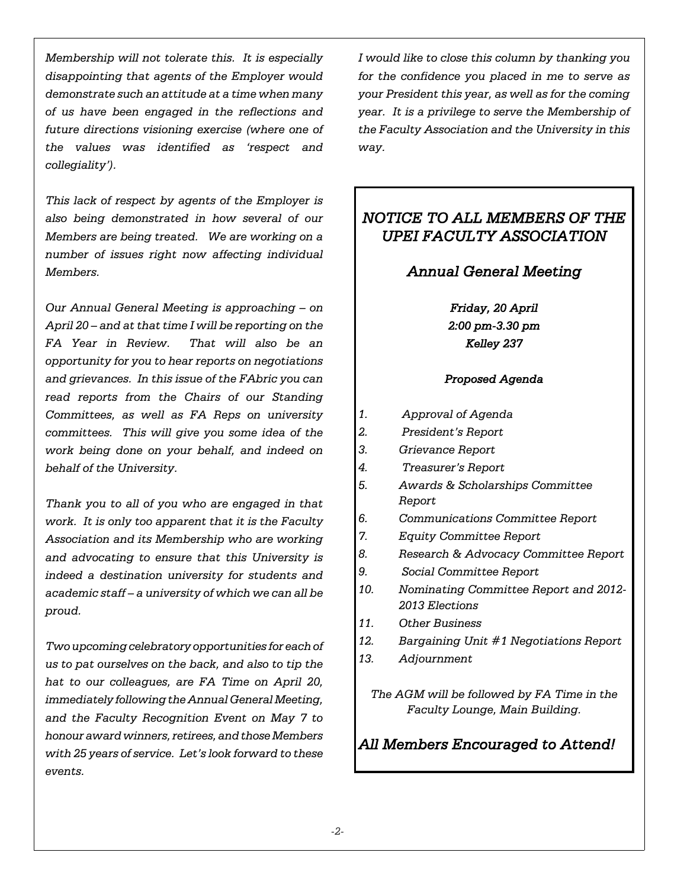*Membership will not tolerate this. It is especially disappointing that agents of the Employer would demonstrate such an attitude at a time when many of us have been engaged in the reflections and future directions visioning exercise (where one of the values was identified as 'respect and collegiality').*

*This lack of respect by agents of the Employer is also being demonstrated in how several of our Members are being treated. We are working on a number of issues right now affecting individual Members.*

*Our Annual General Meeting is approaching – on April 20 – and at that time I will be reporting on the FA Year in Review. That will also be an opportunity for you to hear reports on negotiations and grievances. In this issue of the FAbric you can read reports from the Chairs of our Standing Committees, as well as FA Reps on university committees. This will give you some idea of the work being done on your behalf, and indeed on behalf of the University.*

*Thank you to all of you who are engaged in that work. It is only too apparent that it is the Faculty Association and its Membership who are working and advocating to ensure that this University is indeed a destination university for students and academic staff – a university of which we can all be proud.*

*Two upcoming celebratory opportunities for each of us to pat ourselves on the back, and also to tip the hat to our colleagues, are FA Time on April 20, immediately following the Annual General Meeting, and the Faculty Recognition Event on May 7 to honour award winners, retirees, and those Members with 25 years of service. Let's look forward to these events.*

*I would like to close this column by thanking you for the confidence you placed in me to serve as your President this year, as well as for the coming year. It is a privilege to serve the Membership of the Faculty Association and the University in this way.*

# *NOTICE TO ALL MEMBERS OF THE UPEI FACULTY ASSOCIATION*

# *Annual General Meeting*

*Friday, 20 April 2:00 pm-3.30 pm Kelley 237*

# *Proposed Agenda*

- *1. Approval of Agenda*
- *2. President's Report*
- *3. Grievance Report*
- *4. Treasurer's Report*
- *5. Awards & Scholarships Committee Report*
- *6. Communications Committee Report*
- *7. Equity Committee Report*
- *8. Research & Advocacy Committee Report*
- *9. Social Committee Report*
- *10. Nominating Committee Report and 2012- 2013 Elections*
- *11. Other Business*
- *12. Bargaining Unit #1 Negotiations Report*
- *13. Adjournment*

*The AGM will be followed by FA Time in the Faculty Lounge, Main Building.*

# *All Members Encouraged to Attend!*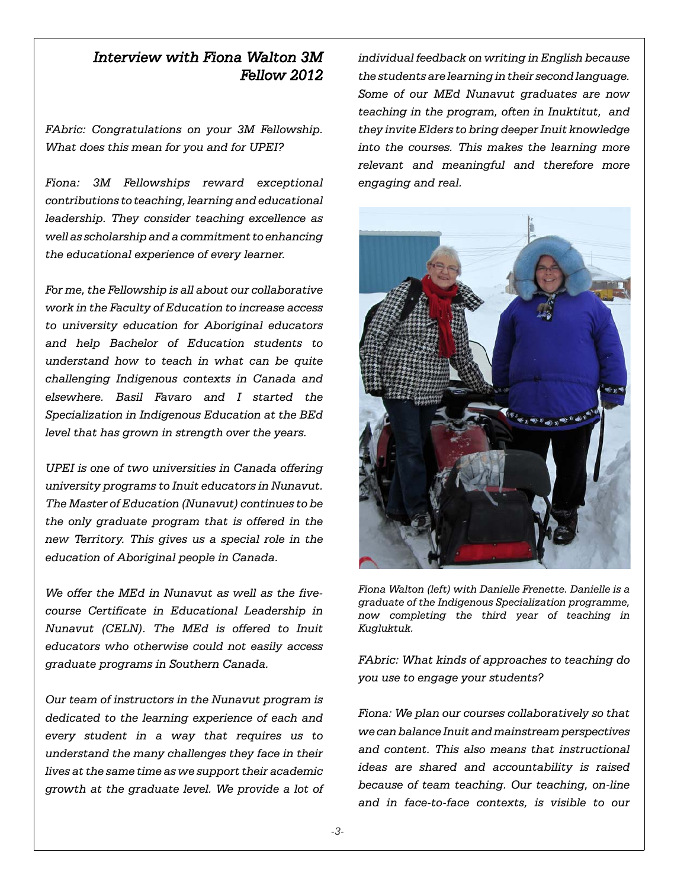# *Interview with Fiona Walton 3M Fellow 2012*

*FAbric: Congratulations on your 3M Fellowship. What does this mean for you and for UPEI?*

*Fiona: 3M Fellowships reward exceptional contributions to teaching, learning and educational leadership. They consider teaching excellence as well as scholarship and a commitment to enhancing the educational experience of every learner.* 

*For me, the Fellowship is all about our collaborative work in the Faculty of Education to increase access to university education for Aboriginal educators and help Bachelor of Education students to understand how to teach in what can be quite challenging Indigenous contexts in Canada and elsewhere. Basil Favaro and I started the Specialization in Indigenous Education at the BEd level that has grown in strength over the years.*

*UPEI is one of two universities in Canada offering university programs to Inuit educators in Nunavut. The Master of Education (Nunavut) continues to be the only graduate program that is offered in the new Territory. This gives us a special role in the education of Aboriginal people in Canada.*

*We offer the MEd in Nunavut as well as the fivecourse Certificate in Educational Leadership in Nunavut (CELN). The MEd is offered to Inuit educators who otherwise could not easily access graduate programs in Southern Canada.* 

*Our team of instructors in the Nunavut program is dedicated to the learning experience of each and every student in a way that requires us to understand the many challenges they face in their lives at the same time as we support their academic growth at the graduate level. We provide a lot of* *individual feedback on writing in English because the students are learning in their second language. Some of our MEd Nunavut graduates are now teaching in the program, often in Inuktitut, and they invite Elders to bring deeper Inuit knowledge into the courses. This makes the learning more relevant and meaningful and therefore more engaging and real.*



*Fiona Walton (left) with Danielle Frenette. Danielle is a graduate of the Indigenous Specialization programme, now completing the third year of teaching in Kugluktuk.*

*FAbric: What kinds of approaches to teaching do you use to engage your students?*

*Fiona: We plan our courses collaboratively so that we can balance Inuit and mainstream perspectives and content. This also means that instructional ideas are shared and accountability is raised because of team teaching. Our teaching, on-line and in face-to-face contexts, is visible to our*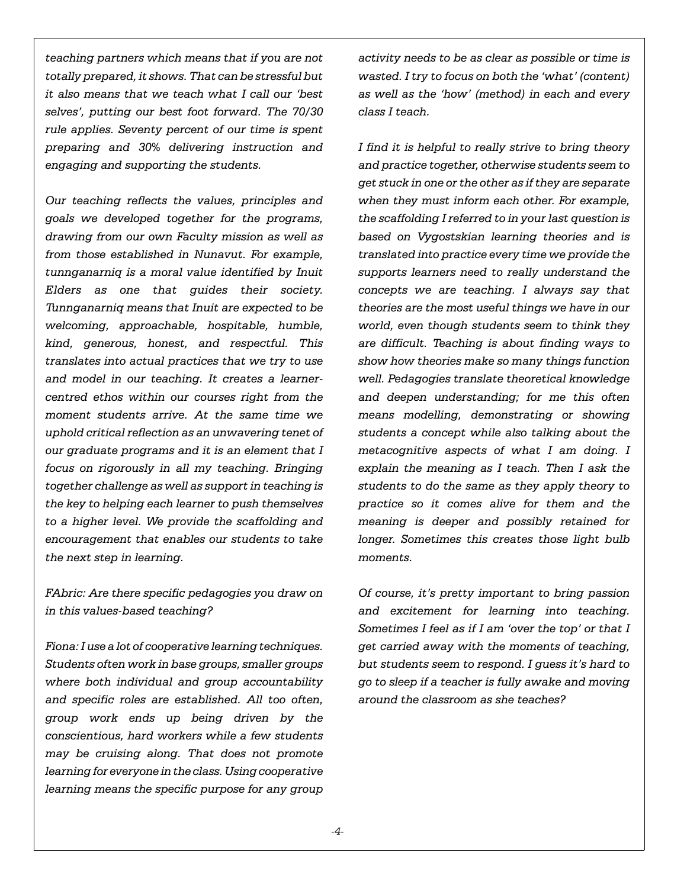*teaching partners which means that if you are not totally prepared, it shows. That can be stressful but it also means that we teach what I call our 'best selves', putting our best foot forward. The 70/30 rule applies. Seventy percent of our time is spent preparing and 30% delivering instruction and engaging and supporting the students.* 

*Our teaching reflects the values, principles and goals we developed together for the programs, drawing from our own Faculty mission as well as from those established in Nunavut. For example, tunnganarniq is a moral value identified by Inuit Elders as one that guides their society. Tunnganarniq means that Inuit are expected to be welcoming, approachable, hospitable, humble, kind, generous, honest, and respectful. This translates into actual practices that we try to use and model in our teaching. It creates a learnercentred ethos within our courses right from the moment students arrive. At the same time we uphold critical reflection as an unwavering tenet of our graduate programs and it is an element that I focus on rigorously in all my teaching. Bringing together challenge as well as support in teaching is the key to helping each learner to push themselves to a higher level. We provide the scaffolding and encouragement that enables our students to take the next step in learning.* 

*FAbric: Are there specific pedagogies you draw on in this values-based teaching?*

*Fiona: I use a lot of cooperative learning techniques. Students often work in base groups, smaller groups where both individual and group accountability and specific roles are established. All too often, group work ends up being driven by the conscientious, hard workers while a few students may be cruising along. That does not promote learning for everyone in the class. Using cooperative learning means the specific purpose for any group*

*activity needs to be as clear as possible or time is wasted. I try to focus on both the 'what' (content) as well as the 'how' (method) in each and every class I teach.* 

*I find it is helpful to really strive to bring theory and practice together, otherwise students seem to get stuck in one or the other as if they are separate when they must inform each other. For example, the scaffolding I referred to in your last question is based on Vygostskian learning theories and is translated into practice every time we provide the supports learners need to really understand the concepts we are teaching. I always say that theories are the most useful things we have in our world, even though students seem to think they are difficult. Teaching is about finding ways to show how theories make so many things function well. Pedagogies translate theoretical knowledge and deepen understanding; for me this often means modelling, demonstrating or showing students a concept while also talking about the metacognitive aspects of what I am doing. I explain the meaning as I teach. Then I ask the students to do the same as they apply theory to practice so it comes alive for them and the meaning is deeper and possibly retained for longer. Sometimes this creates those light bulb moments.*

*Of course, it's pretty important to bring passion and excitement for learning into teaching. Sometimes I feel as if I am 'over the top' or that I get carried away with the moments of teaching, but students seem to respond. I guess it's hard to go to sleep if a teacher is fully awake and moving around the classroom as she teaches?*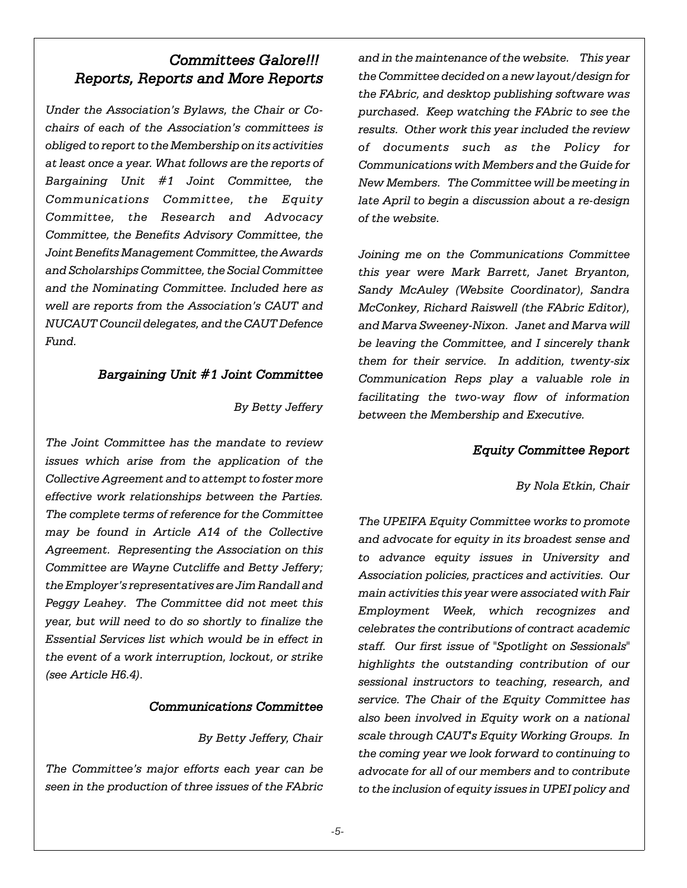# *Committees Galore!!! Reports, Reports and More Reports*

*Under the Association's Bylaws, the Chair or Cochairs of each of the Association's committees is obliged to report to the Membership on its activities at least once a year. What follows are the reports of Bargaining Unit #1 Joint Committee, the Communications Committee, the Equity Committee, the Research and Advocacy Committee, the Benefits Advisory Committee, the Joint Benefits Management Committee, the Awards and Scholarships Committee, the Social Committee and the Nominating Committee. Included here as well are reports from the Association's CAUT and NUCAUT Council delegates, and the CAUT Defence Fund.*

# *Bargaining Unit #1 Joint Committee*

*By Betty Jeffery*

*The Joint Committee has the mandate to review issues which arise from the application of the Collective Agreement and to attempt to foster more effective work relationships between the Parties. The complete terms of reference for the Committee may be found in Article A14 of the Collective Agreement. Representing the Association on this Committee are Wayne Cutcliffe and Betty Jeffery; the Employer's representatives are Jim Randall and Peggy Leahey. The Committee did not meet this year, but will need to do so shortly to finalize the Essential Services list which would be in effect in the event of a work interruption, lockout, or strike (see Article H6.4).*

#### *Communications Committee*

#### *By Betty Jeffery, Chair*

*The Committee's major efforts each year can be seen in the production of three issues of the FAbric*

*and in the maintenance of the website. This year the Committee decided on a new layout/design for the FAbric, and desktop publishing software was purchased. Keep watching the FAbric to see the results. Other work this year included the review of documents such as the Policy for Communications with Members and the Guide for New Members. The Committee will be meeting in late April to begin a discussion about a re-design of the website.*

*Joining me on the Communications Committee this year were Mark Barrett, Janet Bryanton, Sandy McAuley (Website Coordinator), Sandra McConkey, Richard Raiswell (the FAbric Editor), and Marva Sweeney-Nixon. Janet and Marva will be leaving the Committee, and I sincerely thank them for their service. In addition, twenty-six Communication Reps play a valuable role in facilitating the two-way flow of information between the Membership and Executive.* 

# *Equity Committee Report*

*By Nola Etkin, Chair*

*The UPEIFA Equity Committee works to promote and advocate for equity in its broadest sense and to advance equity issues in University and Association policies, practices and activities. Our main activities this year were associated with Fair Employment Week, which recognizes and celebrates the contributions of contract academic staff. Our first issue of "Spotlight on Sessionals" highlights the outstanding contribution of our sessional instructors to teaching, research, and service. The Chair of the Equity Committee has also been involved in Equity work on a national scale through CAUT's Equity Working Groups. In the coming year we look forward to continuing to advocate for all of our members and to contribute to the inclusion of equity issues in UPEI policy and*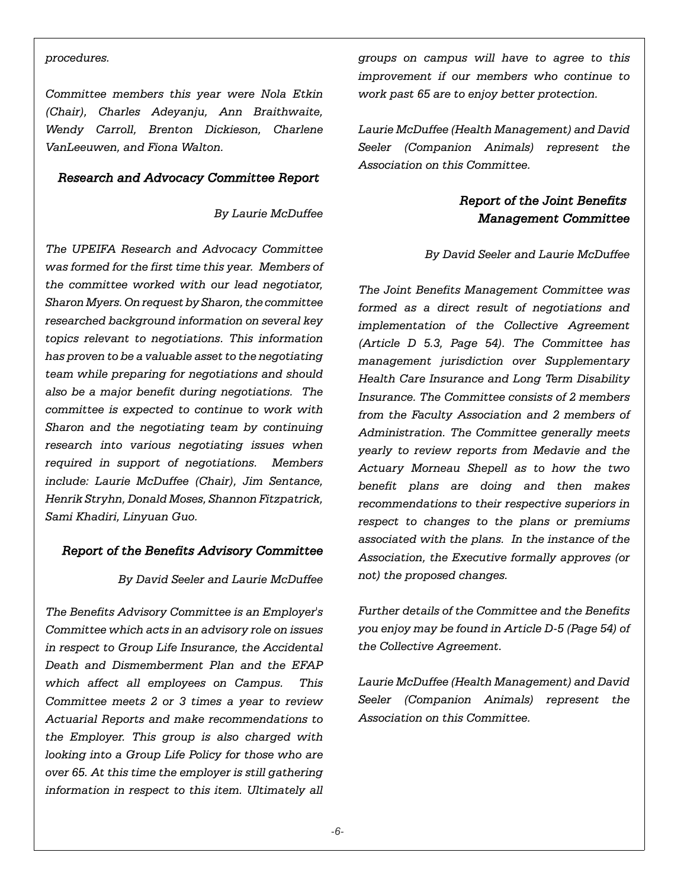#### *procedures.*

*Committee members this year were Nola Etkin (Chair), Charles Adeyanju, Ann Braithwaite, Wendy Carroll, Brenton Dickieson, Charlene VanLeeuwen, and Fiona Walton.*

#### *Research and Advocacy Committee Report*

#### *By Laurie McDuffee*

*The UPEIFA Research and Advocacy Committee was formed for the first time this year. Members of the committee worked with our lead negotiator, Sharon Myers. On request by Sharon, the committee researched background information on several key topics relevant to negotiations. This information has proven to be a valuable asset to the negotiating team while preparing for negotiations and should also be a major benefit during negotiations. The committee is expected to continue to work with Sharon and the negotiating team by continuing research into various negotiating issues when required in support of negotiations. Members include: Laurie McDuffee (Chair), Jim Sentance, Henrik Stryhn, Donald Moses, Shannon Fitzpatrick, Sami Khadiri, Linyuan Guo.* 

## *Report of the Benefits Advisory Committee*

#### *By David Seeler and Laurie McDuffee*

*The Benefits Advisory Committee is an Employer's Committee which acts in an advisory role on issues in respect to Group Life Insurance, the Accidental Death and Dismemberment Plan and the EFAP which affect all employees on Campus. This Committee meets 2 or 3 times a year to review Actuarial Reports and make recommendations to the Employer. This group is also charged with looking into a Group Life Policy for those who are over 65. At this time the employer is still gathering information in respect to this item. Ultimately all* *groups on campus will have to agree to this improvement if our members who continue to work past 65 are to enjoy better protection.*

*Laurie McDuffee (Health Management) and David Seeler (Companion Animals) represent the Association on this Committee.*

# *Report of the Joint Benefits Management Committee*

#### *By David Seeler and Laurie McDuffee*

*The Joint Benefits Management Committee was formed as a direct result of negotiations and implementation of the Collective Agreement (Article D 5.3, Page 54). The Committee has management jurisdiction over Supplementary Health Care Insurance and Long Term Disability Insurance. The Committee consists of 2 members from the Faculty Association and 2 members of Administration. The Committee generally meets yearly to review reports from Medavie and the Actuary Morneau Shepell as to how the two benefit plans are doing and then makes recommendations to their respective superiors in respect to changes to the plans or premiums associated with the plans. In the instance of the Association, the Executive formally approves (or not) the proposed changes.*

*Further details of the Committee and the Benefits you enjoy may be found in Article D-5 (Page 54) of the Collective Agreement.*

*Laurie McDuffee (Health Management) and David Seeler (Companion Animals) represent the Association on this Committee.*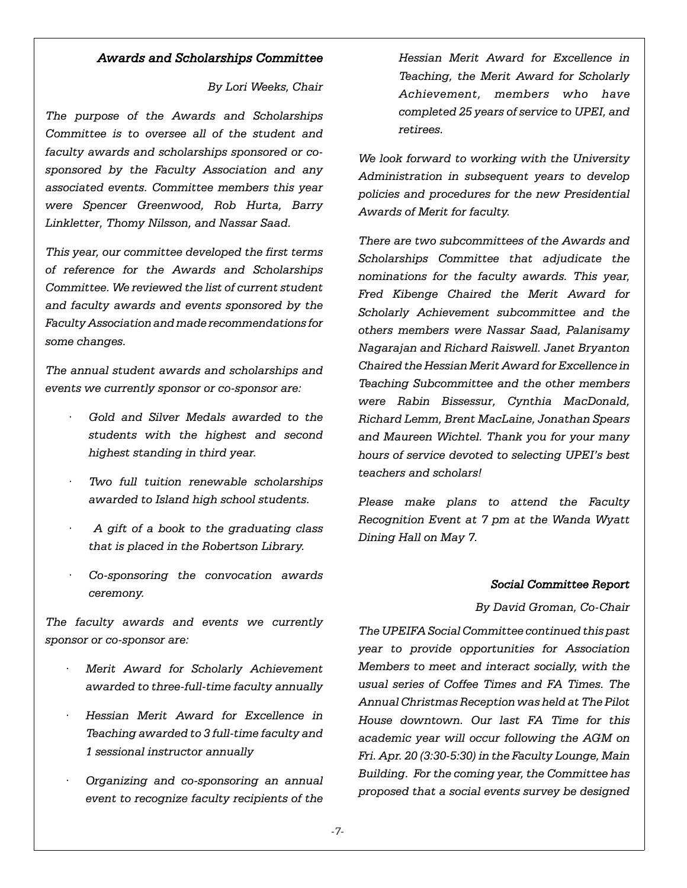#### *Awards and Scholarships Committee*

#### *By Lori Weeks, Chair*

*The purpose of the Awards and Scholarships Committee is to oversee all of the student and faculty awards and scholarships sponsored or cosponsored by the Faculty Association and any associated events. Committee members this year were Spencer Greenwood, Rob Hurta, Barry Linkletter, Thomy Nilsson, and Nassar Saad.*

*This year, our committee developed the first terms of reference for the Awards and Scholarships Committee. We reviewed the list of current student and faculty awards and events sponsored by the Faculty Association and made recommendations for some changes.* 

*The annual student awards and scholarships and events we currently sponsor or co-sponsor are:*

- *· Gold and Silver Medals awarded to the students with the highest and second highest standing in third year.*
- *· Two full tuition renewable scholarships awarded to Island high school students.*
- *· A gift of a book to the graduating class that is placed in the Robertson Library.*
- *· Co-sponsoring the convocation awards ceremony.*

*The faculty awards and events we currently sponsor or co-sponsor are:*

- *· Merit Award for Scholarly Achievement awarded to three-full-time faculty annually*
- *· Hessian Merit Award for Excellence in Teaching awarded to 3 full-time faculty and 1 sessional instructor annually*
- *· Organizing and co-sponsoring an annual event to recognize faculty recipients of the*

*Hessian Merit Award for Excellence in Teaching, the Merit Award for Scholarly Achievement, members who have completed 25 years of service to UPEI, and retirees.*

*We look forward to working with the University Administration in subsequent years to develop policies and procedures for the new Presidential Awards of Merit for faculty.* 

*There are two subcommittees of the Awards and Scholarships Committee that adjudicate the nominations for the faculty awards. This year, Fred Kibenge Chaired the Merit Award for Scholarly Achievement subcommittee and the others members were Nassar Saad, Palanisamy Nagarajan and Richard Raiswell. Janet Bryanton Chaired the Hessian Merit Award for Excellence in Teaching Subcommittee and the other members were Rabin Bissessur, Cynthia MacDonald, Richard Lemm, Brent MacLaine, Jonathan Spears and Maureen Wichtel. Thank you for your many hours of service devoted to selecting UPEI's best teachers and scholars!* 

*Please make plans to attend the Faculty Recognition Event at 7 pm at the Wanda Wyatt Dining Hall on May 7.*

#### *Social Committee Report*

*By David Groman, Co-Chair*

*The UPEIFA Social Committee continued this past year to provide opportunities for Association Members to meet and interact socially, with the usual series of Coffee Times and FA Times. The Annual Christmas Reception was held at The Pilot House downtown. Our last FA Time for this academic year will occur following the AGM on Fri. Apr. 20 (3:30-5:30) in the Faculty Lounge, Main Building. For the coming year, the Committee has proposed that a social events survey be designed*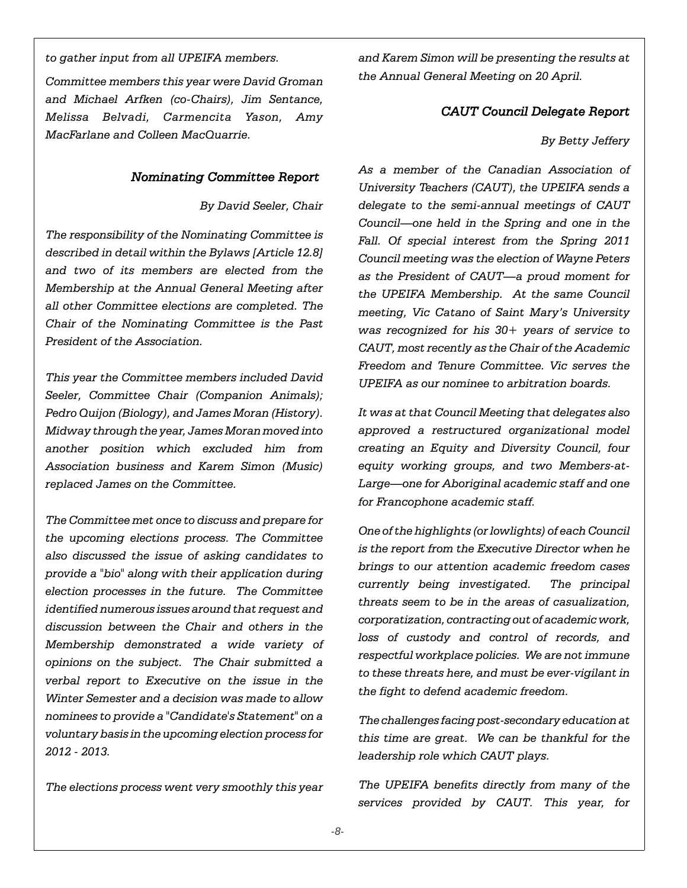*to gather input from all UPEIFA members.* 

*Committee members this year were David Groman and Michael Arfken (co-Chairs), Jim Sentance, Melissa Belvadi, Carmencita Yason, Amy MacFarlane and Colleen MacQuarrie.*

#### *Nominating Committee Report*

*By David Seeler, Chair*

*The responsibility of the Nominating Committee is described in detail within the Bylaws [Article 12.8] and two of its members are elected from the Membership at the Annual General Meeting after all other Committee elections are completed. The Chair of the Nominating Committee is the Past President of the Association.*

*This year the Committee members included David Seeler, Committee Chair (Companion Animals); Pedro Quijon (Biology), and James Moran (History). Midway through the year, James Moran moved into another position which excluded him from Association business and Karem Simon (Music) replaced James on the Committee.*

*The Committee met once to discuss and prepare for the upcoming elections process. The Committee also discussed the issue of asking candidates to provide a "bio" along with their application during election processes in the future. The Committee identified numerous issues around that request and discussion between the Chair and others in the Membership demonstrated a wide variety of opinions on the subject. The Chair submitted a verbal report to Executive on the issue in the Winter Semester and a decision was made to allow nominees to provide a "Candidate's Statement" on a voluntary basis in the upcoming election process for 2012 - 2013.*

*The elections process went very smoothly this year*

*and Karem Simon will be presenting the results at the Annual General Meeting on 20 April.*

## *CAUT Council Delegate Report*

#### *By Betty Jeffery*

*As a member of the Canadian Association of University Teachers (CAUT), the UPEIFA sends a delegate to the semi-annual meetings of CAUT Council—one held in the Spring and one in the Fall. Of special interest from the Spring 2011 Council meeting was the election of Wayne Peters as the President of CAUT—a proud moment for the UPEIFA Membership. At the same Council meeting, Vic Catano of Saint Mary's University was recognized for his 30+ years of service to CAUT, most recently as the Chair of the Academic Freedom and Tenure Committee. Vic serves the UPEIFA as our nominee to arbitration boards.*

*It was at that Council Meeting that delegates also approved a restructured organizational model creating an Equity and Diversity Council, four equity working groups, and two Members-at-Large—one for Aboriginal academic staff and one for Francophone academic staff.*

*One of the highlights (or lowlights) of each Council is the report from the Executive Director when he brings to our attention academic freedom cases currently being investigated. The principal threats seem to be in the areas of casualization, corporatization, contracting out of academic work, loss of custody and control of records, and respectful workplace policies. We are not immune to these threats here, and must be ever-vigilant in the fight to defend academic freedom.*

*The challenges facing post-secondary education at this time are great. We can be thankful for the leadership role which CAUT plays.*

*The UPEIFA benefits directly from many of the services provided by CAUT. This year, for*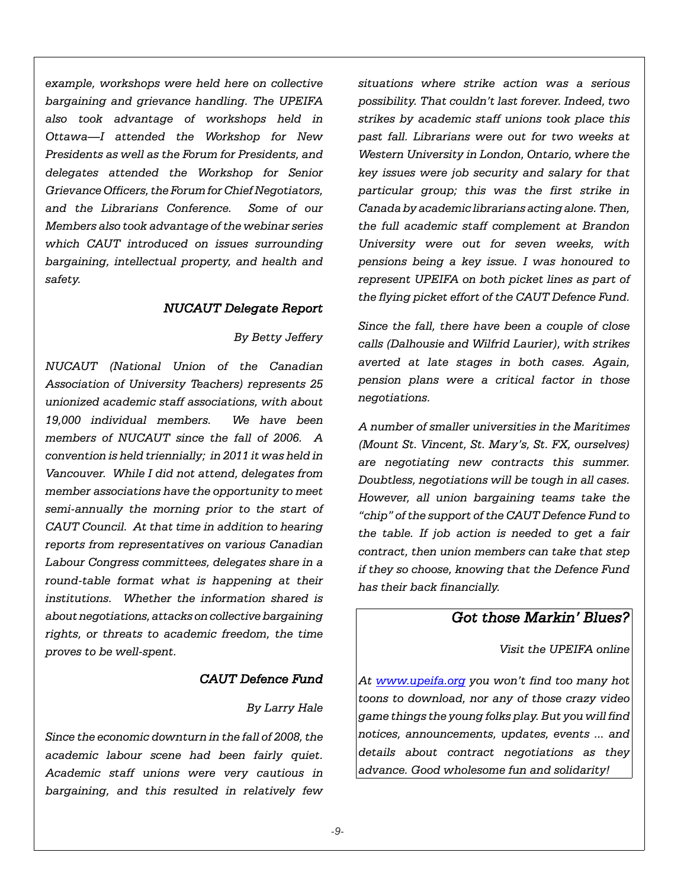*example, workshops were held here on collective bargaining and grievance handling. The UPEIFA also took advantage of workshops held in Ottawa—I attended the Workshop for New Presidents as well as the Forum for Presidents, and delegates attended the Workshop for Senior Grievance Officers, the Forum for Chief Negotiators, and the Librarians Conference. Some of our Members also took advantage of the webinar series which CAUT introduced on issues surrounding bargaining, intellectual property, and health and safety.*

#### *NUCAUT Delegate Report*

#### *By Betty Jeffery*

*NUCAUT (National Union of the Canadian Association of University Teachers) represents 25 unionized academic staff associations, with about 19,000 individual members. We have been members of NUCAUT since the fall of 2006. A convention is held triennially; in 2011 it was held in Vancouver. While I did not attend, delegates from member associations have the opportunity to meet semi-annually the morning prior to the start of CAUT Council. At that time in addition to hearing reports from representatives on various Canadian Labour Congress committees, delegates share in a round-table format what is happening at their institutions. Whether the information shared is about negotiations, attacks on collective bargaining rights, or threats to academic freedom, the time proves to be well-spent.*

#### *CAUT Defence Fund*

#### *By Larry Hale*

*Since the economic downturn in the fall of 2008, the academic labour scene had been fairly quiet. Academic staff unions were very cautious in bargaining, and this resulted in relatively few* *situations where strike action was a serious possibility. That couldn't last forever. Indeed, two strikes by academic staff unions took place this past fall. Librarians were out for two weeks at Western University in London, Ontario, where the key issues were job security and salary for that particular group; this was the first strike in Canada by academic librarians acting alone. Then, the full academic staff complement at Brandon University were out for seven weeks, with pensions being a key issue. I was honoured to represent UPEIFA on both picket lines as part of the flying picket effort of the CAUT Defence Fund.*

*Since the fall, there have been a couple of close calls (Dalhousie and Wilfrid Laurier), with strikes averted at late stages in both cases. Again, pension plans were a critical factor in those negotiations.*

*A number of smaller universities in the Maritimes (Mount St. Vincent, St. Mary's, St. FX, ourselves) are negotiating new contracts this summer. Doubtless, negotiations will be tough in all cases. However, all union bargaining teams take the "chip" of the support of the CAUT Defence Fund to the table. If job action is needed to get a fair contract, then union members can take that step if they so choose, knowing that the Defence Fund has their back financially.*

# *Got those Markin' Blues?*

*Visit the UPEIFA online*

*At www.upeifa.org you won't find too many hot toons to download, nor any of those crazy video game things the young folks play. But you will find notices, announcements, updates, events ... and details about contract negotiations as they advance. Good wholesome fun and solidarity!*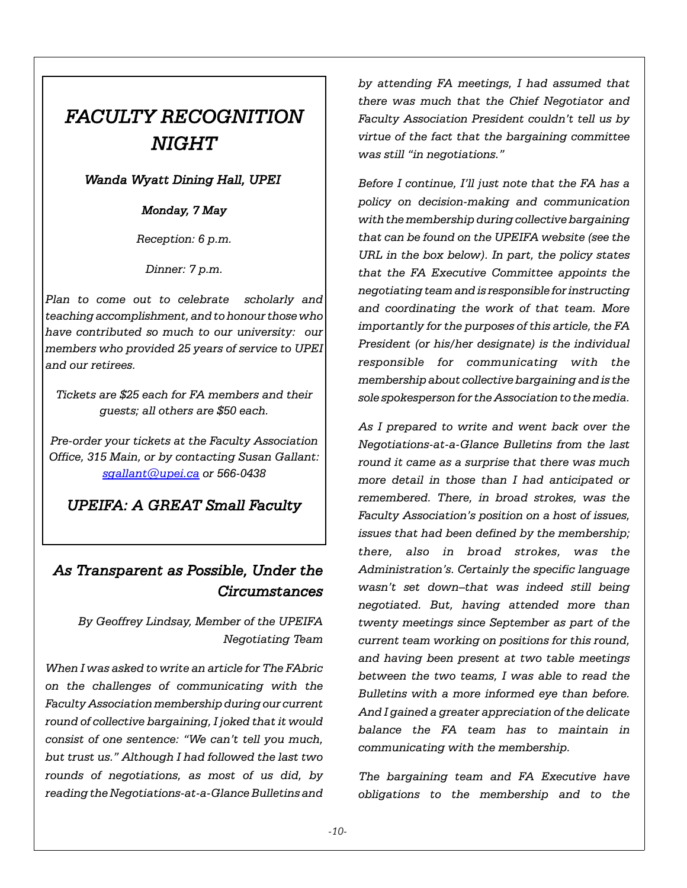# *FACULTY RECOGNITION NIGHT*

# *Wanda Wyatt Dining Hall, UPEI*

# *Monday, 7 May*

*Reception: 6 p.m.*

*Dinner: 7 p.m.*

*Plan to come out to celebrate scholarly and teaching accomplishment, and to honour those who have contributed so much to our university: our members who provided 25 years of service to UPEI and our retirees.* 

*Tickets are \$25 each for FA members and their guests; all others are \$50 each.*

*Pre-order your tickets at the Faculty Association Office, 315 Main, or by contacting Susan Gallant: sgallant@upei.ca or 566-0438*

# *UPEIFA: A GREAT Small Faculty*

# *As Transparent as Possible, Under the Circumstances*

*By Geoffrey Lindsay, Member of the UPEIFA Negotiating Team*

*When I was asked to write an article for The FAbric on the challenges of communicating with the Faculty Association membership during our current round of collective bargaining, I joked that it would consist of one sentence: "We can't tell you much, but trust us." Although I had followed the last two rounds of negotiations, as most of us did, by reading the Negotiations-at-a-Glance Bulletins and* *by attending FA meetings, I had assumed that there was much that the Chief Negotiator and Faculty Association President couldn't tell us by virtue of the fact that the bargaining committee was still "in negotiations."*

*Before I continue, I'll just note that the FA has a policy on decision-making and communication with the membership during collective bargaining that can be found on the UPEIFA website (see the URL in the box below). In part, the policy states that the FA Executive Committee appoints the negotiating team and is responsible for instructing and coordinating the work of that team. More importantly for the purposes of this article, the FA President (or his/her designate) is the individual responsible for communicating with the membership about collective bargaining and is the sole spokesperson for the Association to the media.*

*As I prepared to write and went back over the Negotiations-at-a-Glance Bulletins from the last round it came as a surprise that there was much more detail in those than I had anticipated or remembered. There, in broad strokes, was the Faculty Association's position on a host of issues, issues that had been defined by the membership; there, also in broad strokes, was the Administration's. Certainly the specific language wasn't set down–that was indeed still being negotiated. But, having attended more than twenty meetings since September as part of the current team working on positions for this round, and having been present at two table meetings between the two teams, I was able to read the Bulletins with a more informed eye than before. And I gained a greater appreciation of the delicate balance the FA team has to maintain in communicating with the membership.*

*The bargaining team and FA Executive have obligations to the membership and to the*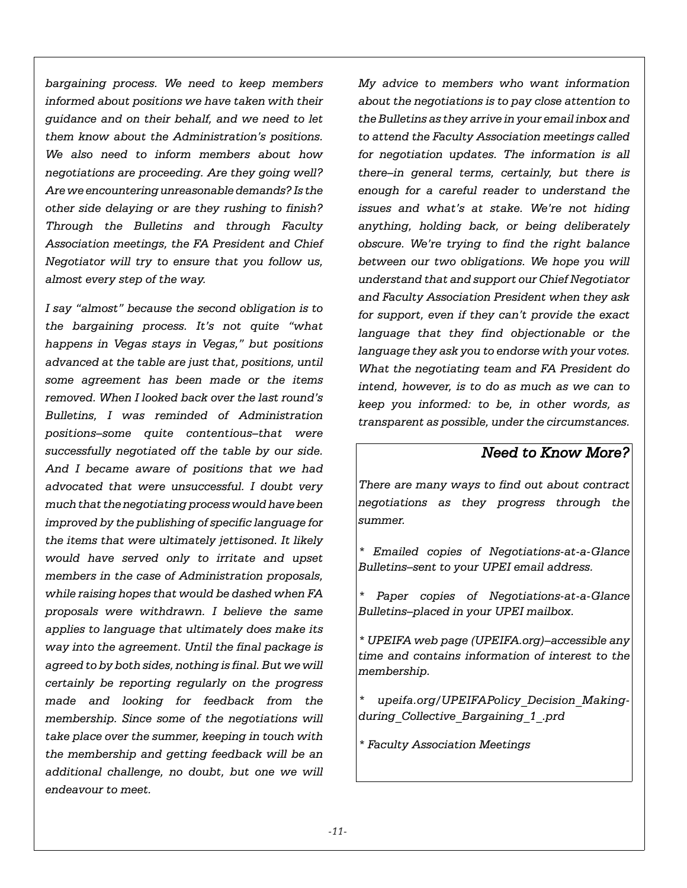*bargaining process. We need to keep members informed about positions we have taken with their guidance and on their behalf, and we need to let them know about the Administration's positions. We also need to inform members about how negotiations are proceeding. Are they going well? Are we encountering unreasonable demands? Is the other side delaying or are they rushing to finish? Through the Bulletins and through Faculty Association meetings, the FA President and Chief Negotiator will try to ensure that you follow us, almost every step of the way.* 

*I say "almost" because the second obligation is to the bargaining process. It's not quite "what happens in Vegas stays in Vegas," but positions advanced at the table are just that, positions, until some agreement has been made or the items removed. When I looked back over the last round's Bulletins, I was reminded of Administration positions–some quite contentious–that were successfully negotiated off the table by our side. And I became aware of positions that we had advocated that were unsuccessful. I doubt very much that the negotiating process would have been improved by the publishing of specific language for the items that were ultimately jettisoned. It likely would have served only to irritate and upset members in the case of Administration proposals, while raising hopes that would be dashed when FA proposals were withdrawn. I believe the same applies to language that ultimately does make its way into the agreement. Until the final package is agreed to by both sides, nothing is final. But we will certainly be reporting regularly on the progress made and looking for feedback from the membership. Since some of the negotiations will take place over the summer, keeping in touch with the membership and getting feedback will be an additional challenge, no doubt, but one we will endeavour to meet.*

*My advice to members who want information about the negotiations is to pay close attention to the Bulletins as they arrive in your email inbox and to attend the Faculty Association meetings called for negotiation updates. The information is all there–in general terms, certainly, but there is enough for a careful reader to understand the issues and what's at stake. We're not hiding anything, holding back, or being deliberately obscure. We're trying to find the right balance between our two obligations. We hope you will understand that and support our Chief Negotiator and Faculty Association President when they ask for support, even if they can't provide the exact language that they find objectionable or the language they ask you to endorse with your votes. What the negotiating team and FA President do intend, however, is to do as much as we can to keep you informed: to be, in other words, as transparent as possible, under the circumstances.*

# *Need to Know More?*

*There are many ways to find out about contract negotiations as they progress through the summer.*

*\* Emailed copies of Negotiations-at-a-Glance Bulletins–sent to your UPEI email address.*

*\* Paper copies of Negotiations-at-a-Glance Bulletins–placed in your UPEI mailbox.*

*\* UPEIFA web page (UPEIFA.org)–accessible any time and contains information of interest to the membership.*

*\* upeifa.org/UPEIFAPolicy\_Decision\_Makingduring\_Collective\_Bargaining\_1\_.prd*

*\* Faculty Association Meetings*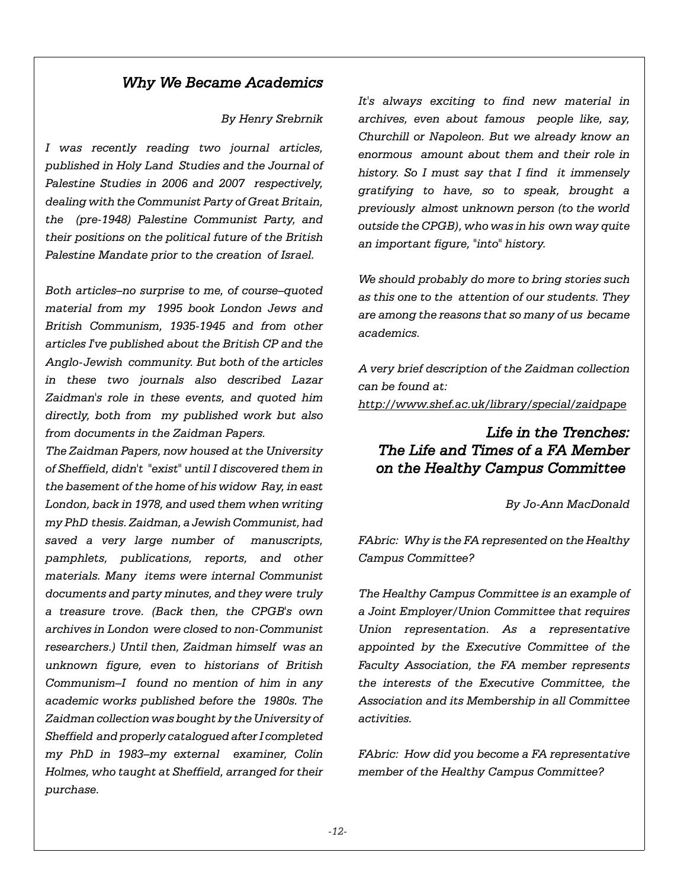# *Why We Became Academics*

#### *By Henry Srebrnik*

*I was recently reading two journal articles, published in Holy Land Studies and the Journal of Palestine Studies in 2006 and 2007 respectively, dealing with the Communist Party of Great Britain, the (pre-1948) Palestine Communist Party, and their positions on the political future of the British Palestine Mandate prior to the creation of Israel.*

*Both articles–no surprise to me, of course–quoted material from my 1995 book London Jews and British Communism, 1935-1945 and from other articles I've published about the British CP and the Anglo-Jewish community. But both of the articles in these two journals also described Lazar Zaidman's role in these events, and quoted him directly, both from my published work but also from documents in the Zaidman Papers.*

*The Zaidman Papers, now housed at the University of Sheffield, didn't "exist" until I discovered them in the basement of the home of his widow Ray, in east London, back in 1978, and used them when writing my PhD thesis. Zaidman, a Jewish Communist, had saved a very large number of manuscripts, pamphlets, publications, reports, and other materials. Many items were internal Communist documents and party minutes, and they were truly a treasure trove. (Back then, the CPGB's own archives in London were closed to non-Communist researchers.) Until then, Zaidman himself was an unknown figure, even to historians of British Communism–I found no mention of him in any academic works published before the 1980s. The Zaidman collection was bought by the University of Sheffield and properly catalogued after I completed my PhD in 1983–my external examiner, Colin Holmes, who taught at Sheffield, arranged for their purchase.*

*It's always exciting to find new material in archives, even about famous people like, say, Churchill or Napoleon. But we already know an enormous amount about them and their role in history. So I must say that I find it immensely gratifying to have, so to speak, brought a previously almost unknown person (to the world outside the CPGB), who was in his own way quite an important figure, "into" history.*

*We should probably do more to bring stories such as this one to the attention of our students. They are among the reasons that so many of us became academics.*

*A very brief description of the Zaidman collection can be found at: http://www.shef.ac.uk/library/special/zaidpape*

# *Life in the Trenches: The Life and Times of a FA Member on the Healthy Campus Committee*

*By Jo-Ann MacDonald*

*FAbric: Why is the FA represented on the Healthy Campus Committee?*

*The Healthy Campus Committee is an example of a Joint Employer/Union Committee that requires Union representation. As a representative appointed by the Executive Committee of the Faculty Association, the FA member represents the interests of the Executive Committee, the Association and its Membership in all Committee activities.* 

*FAbric: How did you become a FA representative member of the Healthy Campus Committee?*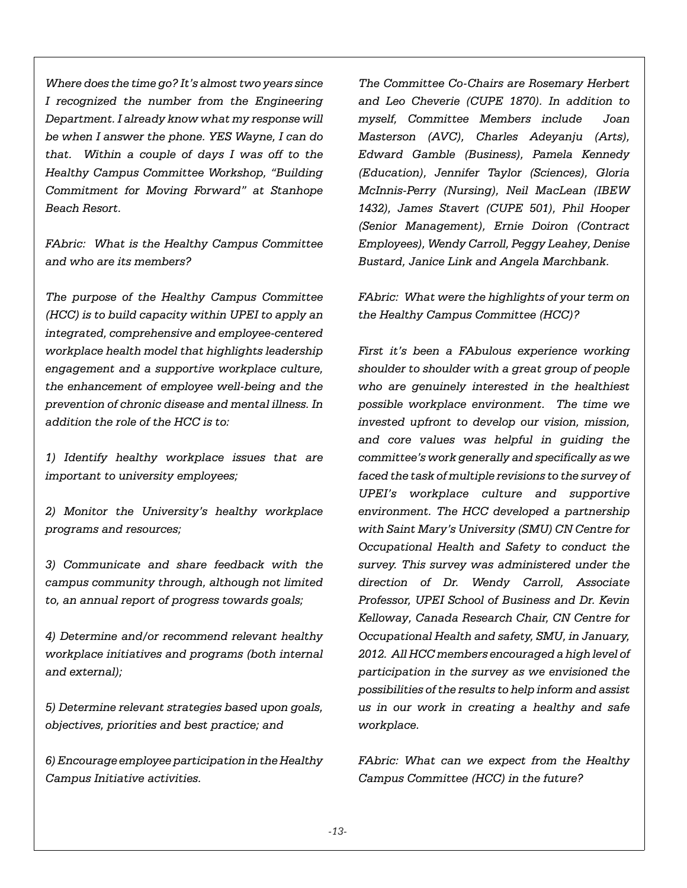*Where does the time go? It's almost two years since I recognized the number from the Engineering Department. I already know what my response will be when I answer the phone. YES Wayne, I can do that. Within a couple of days I was off to the Healthy Campus Committee Workshop, "Building Commitment for Moving Forward" at Stanhope Beach Resort.* 

*FAbric: What is the Healthy Campus Committee and who are its members?*

*The purpose of the Healthy Campus Committee (HCC) is to build capacity within UPEI to apply an integrated, comprehensive and employee-centered workplace health model that highlights leadership engagement and a supportive workplace culture, the enhancement of employee well-being and the prevention of chronic disease and mental illness. In addition the role of the HCC is to:*

*1) Identify healthy workplace issues that are important to university employees;*

*2) Monitor the University's healthy workplace programs and resources;*

*3) Communicate and share feedback with the campus community through, although not limited to, an annual report of progress towards goals;*

*4) Determine and/or recommend relevant healthy workplace initiatives and programs (both internal and external);*

*5) Determine relevant strategies based upon goals, objectives, priorities and best practice; and* 

*6) Encourage employee participation in the Healthy Campus Initiative activities.*

*The Committee Co-Chairs are Rosemary Herbert and Leo Cheverie (CUPE 1870). In addition to myself, Committee Members include Joan Masterson (AVC), Charles Adeyanju (Arts), Edward Gamble (Business), Pamela Kennedy (Education), Jennifer Taylor (Sciences), Gloria McInnis-Perry (Nursing), Neil MacLean (IBEW 1432), James Stavert (CUPE 501), Phil Hooper (Senior Management), Ernie Doiron (Contract Employees), Wendy Carroll, Peggy Leahey, Denise Bustard, Janice Link and Angela Marchbank.*

*FAbric: What were the highlights of your term on the Healthy Campus Committee (HCC)?*

*First it's been a FAbulous experience working shoulder to shoulder with a great group of people who are genuinely interested in the healthiest possible workplace environment. The time we invested upfront to develop our vision, mission, and core values was helpful in guiding the committee's work generally and specifically as we faced the task of multiple revisions to the survey of UPEI's workplace culture and supportive environment. The HCC developed a partnership with Saint Mary's University (SMU) CN Centre for Occupational Health and Safety to conduct the survey. This survey was administered under the direction of Dr. Wendy Carroll, Associate Professor, UPEI School of Business and Dr. Kevin Kelloway, Canada Research Chair, CN Centre for Occupational Health and safety, SMU, in January, 2012. All HCC members encouraged a high level of participation in the survey as we envisioned the possibilities of the results to help inform and assist us in our work in creating a healthy and safe workplace.*

*FAbric: What can we expect from the Healthy Campus Committee (HCC) in the future?*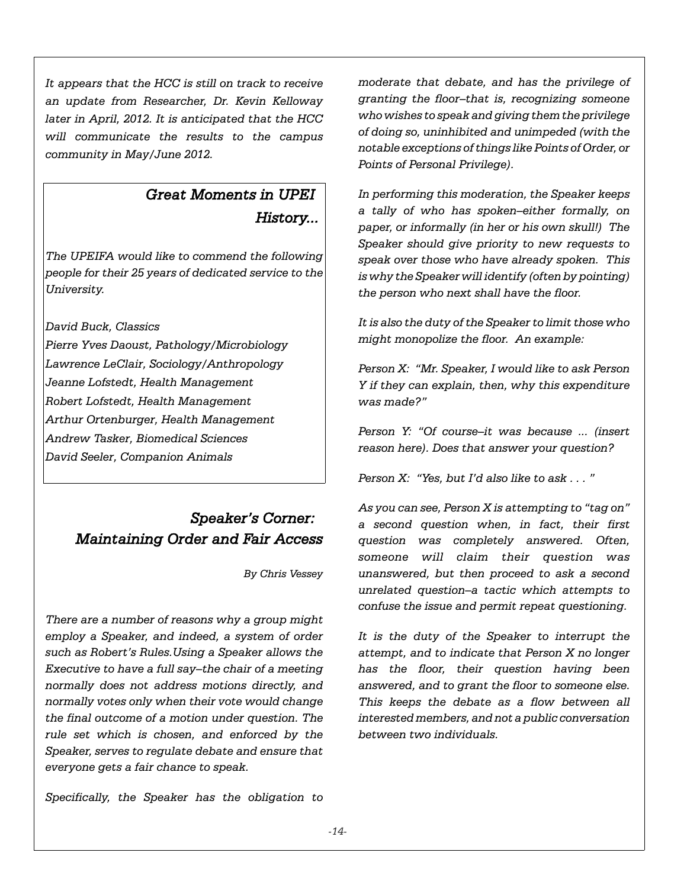*It appears that the HCC is still on track to receive an update from Researcher, Dr. Kevin Kelloway later in April, 2012. It is anticipated that the HCC will communicate the results to the campus community in May/June 2012.* 

# *Great Moments in UPEI History...*

*The UPEIFA would like to commend the following people for their 25 years of dedicated service to the University.*

*David Buck, Classics*

*Pierre Yves Daoust, Pathology/Microbiology Lawrence LeClair, Sociology/Anthropology Jeanne Lofstedt, Health Management Robert Lofstedt, Health Management Arthur Ortenburger, Health Management Andrew Tasker, Biomedical Sciences David Seeler, Companion Animals*

# *Speaker's Corner: Maintaining Order and Fair Access*

*By Chris Vessey*

*There are a number of reasons why a group might employ a Speaker, and indeed, a system of order such as Robert's Rules.Using a Speaker allows the Executive to have a full say–the chair of a meeting normally does not address motions directly, and normally votes only when their vote would change the final outcome of a motion under question. The rule set which is chosen, and enforced by the Speaker, serves to regulate debate and ensure that everyone gets a fair chance to speak.*

*Specifically, the Speaker has the obligation to*

*moderate that debate, and has the privilege of granting the floor–that is, recognizing someone who wishes to speak and giving them the privilege of doing so, uninhibited and unimpeded (with the notable exceptions of things like Points of Order, or Points of Personal Privilege).*

*In performing this moderation, the Speaker keeps a tally of who has spoken–either formally, on paper, or informally (in her or his own skull!) The Speaker should give priority to new requests to speak over those who have already spoken. This is why the Speaker will identify (often by pointing) the person who next shall have the floor.*

*It is also the duty of the Speaker to limit those who might monopolize the floor. An example:*

*Person X: "Mr. Speaker, I would like to ask Person Y if they can explain, then, why this expenditure was made?"*

*Person Y: "Of course–it was because ... (insert reason here). Does that answer your question?*

*Person X: "Yes, but I'd also like to ask . . . "*

*As you can see, Person X is attempting to "tag on" a second question when, in fact, their first question was completely answered. Often, someone will claim their question was unanswered, but then proceed to ask a second unrelated question–a tactic which attempts to confuse the issue and permit repeat questioning.*

*It is the duty of the Speaker to interrupt the attempt, and to indicate that Person X no longer has the floor, their question having been answered, and to grant the floor to someone else. This keeps the debate as a flow between all interested members, and not a public conversation between two individuals.*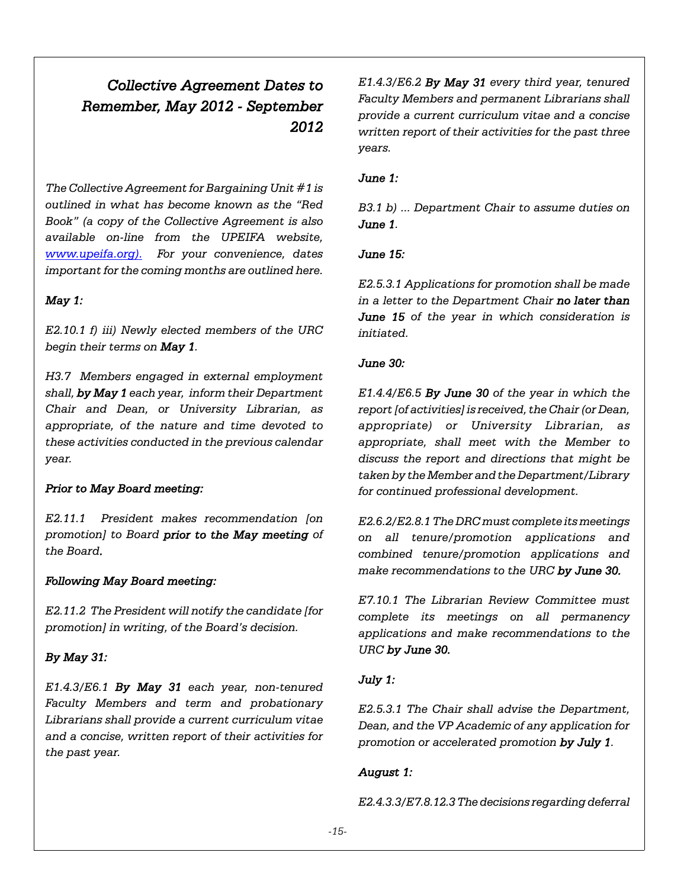# *Collective Agreement Dates to Remember, May 2012 - September 2012*

*The Collective Agreement for Bargaining Unit #1 is outlined in what has become known as the "Red Book" (a copy of the Collective Agreement is also available on-line from the UPEIFA website, www.upeifa.org). For your convenience, dates important for the coming months are outlined here.*

# *May 1:*

*E2.10.1 f) iii) Newly elected members of the URC begin their terms on May 1.*

*H3.7 Members engaged in external employment shall, by May 1 each year, inform their Department Chair and Dean, or University Librarian, as appropriate, of the nature and time devoted to these activities conducted in the previous calendar year.*

## *Prior to May Board meeting:*

*E2.11.1 President makes recommendation [on promotion] to Board prior to the May meeting of the Board.*

## *Following May Board meeting:*

*E2.11.2 The President will notify the candidate [for promotion] in writing, of the Board's decision.*

## *By May 31:*

*E1.4.3/E6.1 By May 31 each year, non-tenured Faculty Members and term and probationary Librarians shall provide a current curriculum vitae and a concise, written report of their activities for the past year.*

*E1.4.3/E6.2 By May 31 every third year, tenured Faculty Members and permanent Librarians shall provide a current curriculum vitae and a concise written report of their activities for the past three years.*

#### *June 1:*

*B3.1 b) ... Department Chair to assume duties on June 1.*

## *June 15:*

*E2.5.3.1 Applications for promotion shall be made in a letter to the Department Chair no later than June 15 of the year in which consideration is initiated.*

#### *June 30:*

*E1.4.4/E6.5 By June 30 of the year in which the report [of activities] is received, the Chair (or Dean, appropriate) or University Librarian, as appropriate, shall meet with the Member to discuss the report and directions that might be taken by the Member and the Department/Library for continued professional development.*

*E2.6.2/E2.8.1 The DRC must complete its meetings on all tenure/promotion applications and combined tenure/promotion applications and make recommendations to the URC by June 30.*

*E7.10.1 The Librarian Review Committee must complete its meetings on all permanency applications and make recommendations to the URC by June 30.*

## *July 1:*

*E2.5.3.1 The Chair shall advise the Department, Dean, and the VP Academic of any application for promotion or accelerated promotion by July 1.*

## *August 1:*

*E2.4.3.3/E7.8.12.3 The decisions regarding deferral*